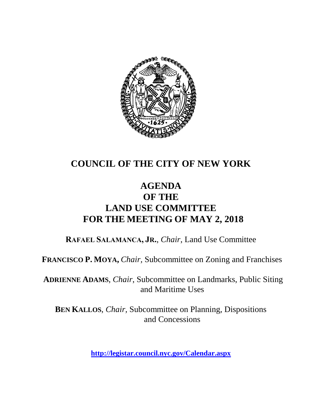

# **COUNCIL OF THE CITY OF NEW YORK**

### **AGENDA OF THE LAND USE COMMITTEE FOR THE MEETING OF MAY 2, 2018**

**RAFAEL SALAMANCA, JR.**, *Chair*, Land Use Committee

**FRANCISCO P. MOYA,** *Chair,* Subcommittee on Zoning and Franchises

**ADRIENNE ADAMS**, *Chair*, Subcommittee on Landmarks, Public Siting and Maritime Uses

**BEN KALLOS**, *Chair,* Subcommittee on Planning, Dispositions and Concessions

**<http://legistar.council.nyc.gov/Calendar.aspx>**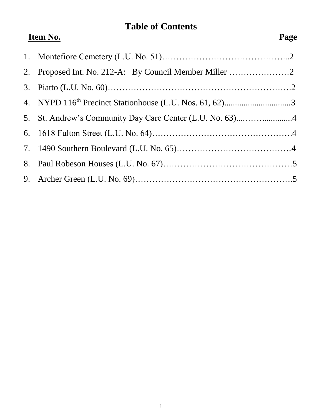### **Table of Contents**

# **Item No. Page**  1. Montefiore Cemetery (L.U. No. 51)……………………………………...2 2. Proposed Int. No. 212-A: By Council Member Miller …………………2 3. Piatto (L.U. No. 60)……………………………………………………….2 4. NYPD 116<sup>th</sup> Precinct Stationhouse (L.U. Nos. 61, 62)...............................3 5. St. Andrew's Community Day Care Center (L.U. No. 63)....……..............4 6. 1618 Fulton Street (L.U. No. 64)………………………………………….4 7. 1490 Southern Boulevard (L.U. No. 65)………………………………….4 8. Paul Robeson Houses (L.U. No. 67)………………………………………5 9. Archer Green (L.U. No. 69)……………………………………………….5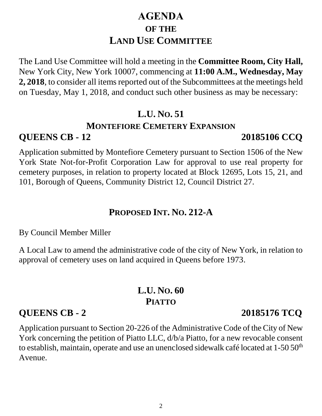# 2

# **AGENDA OF THE LAND USE COMMITTEE**

The Land Use Committee will hold a meeting in the **Committee Room, City Hall,**  New York City, New York 10007, commencing at **11:00 A.M., Wednesday, May 2, 2018**, to consider all items reported out of the Subcommittees at the meetings held on Tuesday, May 1, 2018, and conduct such other business as may be necessary:

### **L.U. NO. 51**

### **MONTEFIORE CEMETERY EXPANSION**

Application submitted by Montefiore Cemetery pursuant to Section 1506 of the New York State Not-for-Profit Corporation Law for approval to use real property for cemetery purposes, in relation to property located at Block 12695, Lots 15, 21, and 101, Borough of Queens, Community District 12, Council District 27.

### **PROPOSED INT. NO. 212-A**

By Council Member Miller

A Local Law to amend the administrative code of the city of New York, in relation to approval of cemetery uses on land acquired in Queens before 1973.

# **L.U. NO. 60 PIATTO**

# **QUEENS CB - 2 20185176 TCQ**

Application pursuant to Section 20-226 of the Administrative Code of the City of New York concerning the petition of Piatto LLC, d/b/a Piatto, for a new revocable consent to establish, maintain, operate and use an unenclosed sidewalk café located at  $1-50\,50^{th}$ Avenue.

# **QUEENS CB - 12 20185106 CCQ**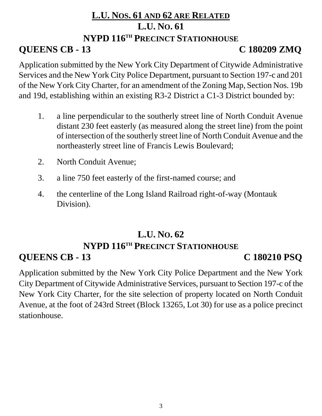# **L.U. NOS. 61 AND 62 ARE RELATED L.U. NO. 61 NYPD 116TH PRECINCT STATIONHOUSE QUEENS CB - 13 C 180209 ZMQ**

Application submitted by the New York City Department of Citywide Administrative Services and the New York City Police Department, pursuant to Section 197-c and 201 of the New York City Charter, for an amendment of the Zoning Map, Section Nos. 19b and 19d, establishing within an existing R3-2 District a C1-3 District bounded by:

- 1. a line perpendicular to the southerly street line of North Conduit Avenue distant 230 feet easterly (as measured along the street line) from the point of intersection of the southerly street line of North Conduit Avenue and the northeasterly street line of Francis Lewis Boulevard;
- 2. North Conduit Avenue;
- 3. a line 750 feet easterly of the first-named course; and
- 4. the centerline of the Long Island Railroad right-of-way (Montauk Division).

### **L.U. NO. 62**

# **NYPD 116TH PRECINCT STATIONHOUSE QUEENS CB - 13 C 180210 PSQ**

Application submitted by the New York City Police Department and the New York City Department of Citywide Administrative Services, pursuant to Section 197-c of the New York City Charter, for the site selection of property located on North Conduit Avenue, at the foot of 243rd Street (Block 13265, Lot 30) for use as a police precinct stationhouse.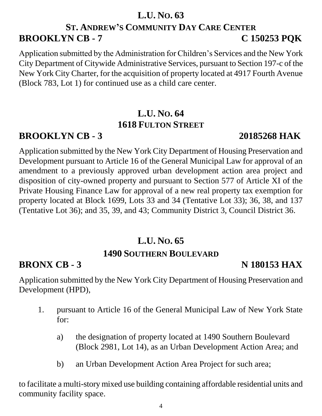### **L.U. NO. 63**

# **ST. ANDREW'S COMMUNITY DAY CARE CENTER BROOKLYN CB - 7 C 150253 PQK**

Application submitted by the Administration for Children's Services and the New York City Department of Citywide Administrative Services, pursuant to Section 197-c of the New York City Charter, for the acquisition of property located at 4917 Fourth Avenue (Block 783, Lot 1) for continued use as a child care center.

# **L.U. NO. 64 1618 FULTON STREET**

# **BROOKLYN CB - 3 20185268 HAK**

Application submitted by the New York City Department of Housing Preservation and Development pursuant to Article 16 of the General Municipal Law for approval of an amendment to a previously approved urban development action area project and disposition of city-owned property and pursuant to Section 577 of Article XI of the Private Housing Finance Law for approval of a new real property tax exemption for property located at Block 1699, Lots 33 and 34 (Tentative Lot 33); 36, 38, and 137 (Tentative Lot 36); and 35, 39, and 43; Community District 3, Council District 36.

# **L.U. NO. 65**

### **1490 SOUTHERN BOULEVARD**

# **BRONX CB - 3** N 180153 HAX

Application submitted by the New York City Department of Housing Preservation and Development (HPD),

- 1. pursuant to Article 16 of the General Municipal Law of New York State for:
	- a) the designation of property located at 1490 Southern Boulevard (Block 2981, Lot 14), as an Urban Development Action Area; and
	- b) an Urban Development Action Area Project for such area;

to facilitate a multi-story mixed use building containing affordable residential units and community facility space.